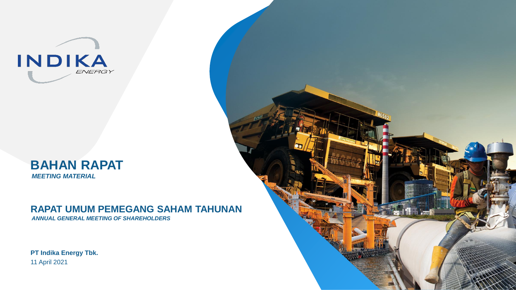



# **RAPAT UMUM PEMEGANG SAHAM TAHUNAN**

*ANNUAL GENERAL MEETING OF SHAREHOLDERS*

**PT Indika Energy Tbk.**  11 April 2021

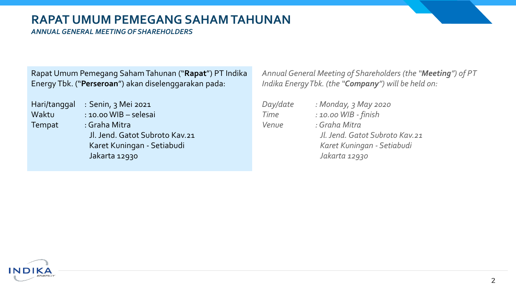# **RAPAT UMUM PEMEGANG SAHAM TAHUNAN**

*ANNUAL GENERAL MEETING OF SHAREHOLDERS*

Rapat Umum Pemegang Saham Tahunan ("**Rapat**") PT Indika Energy Tbk. ("**Perseroan**") akan diselenggarakan pada:

Hari/tanggal : Senin, 3 Mei 2021 Tempat : Graha Mitra

Waktu : 10.00 WIB – selesai Jl. Jend. Gatot Subroto Kav.21 Karet Kuningan - Setiabudi Jakarta 12930

*Annual General Meeting of Shareholders (the "Meeting") of PT Indika Energy Tbk. (the "Company") will be held on:*

| Day/date | : Monday, 3 May 2020                                                                           |
|----------|------------------------------------------------------------------------------------------------|
| Time     | : 10.00 WIB - finish                                                                           |
| Venue    | : Graha Mitra<br>Jl. Jend. Gatot Subroto Kav.21<br>Karet Kuningan - Setiabudi<br>Jakarta 12930 |

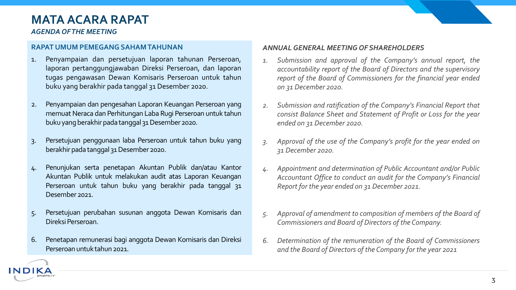# **MATA ACARA RAPAT**

*AGENDA OF THE MEETING*

ND

### **RAPAT UMUM PEMEGANG SAHAMTAHUNAN**

- 1. Penyampaian dan persetujuan laporan tahunan Perseroan, laporan pertanggungjawaban Direksi Perseroan, dan laporan tugas pengawasan Dewan Komisaris Perseroan untuk tahun buku yang berakhir pada tanggal 31 Desember 2020.
- 2. Penyampaian dan pengesahan Laporan Keuangan Perseroan yang memuat Neraca dan Perhitungan Laba Rugi Perseroan untuk tahun buku yang berakhir pada tanggal 31 Desember 2020.
- 3. Persetujuan penggunaan laba Perseroan untuk tahun buku yang berakhir pada tanggal 31 Desember 2020.
- 4. Penunjukan serta penetapan Akuntan Publik dan/atau Kantor Akuntan Publik untuk melakukan audit atas Laporan Keuangan Perseroan untuk tahun buku yang berakhir pada tanggal 31 Desember 2021.
- 5. Persetujuan perubahan susunan anggota Dewan Komisaris dan Direksi Perseroan.
- 6. Penetapan remunerasi bagi anggota Dewan Komisaris dan Direksi Perseroan untuktahun 2021.

### *ANNUALGENERAL MEETING OF SHAREHOLDERS*

- *1. Submission and approval of the Company's annual report, the accountability report of the Board of Directors and the supervisory report of the Board of Commissioners for the financial year ended on 31 December 2020.*
- *2. Submission and ratification of the Company's Financial Report that consist Balance Sheet and Statement of Profit or Loss for the year ended on 31 December 2020.*
- *3. Approval of the use of the Company's profit for the year ended on 31 December 2020.*
- *4. Appointment and determination of Public Accountant and/or Public Accountant Office to conduct an audit for the Company's Financial Report for the year ended on 31 December 2021.*
- *5. Approval of amendment to composition of members of the Board of Commissioners and Board of Directors of the Company.*
- *6. Determination of the remuneration of the Board of Commissioners and the Board of Directors of the Company for the year 2021*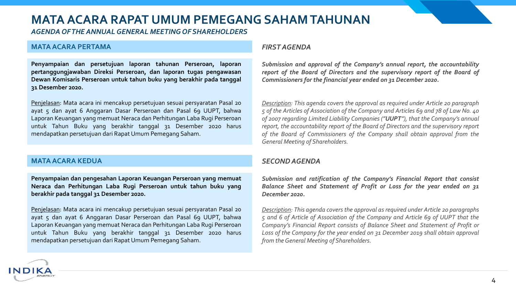# **MATA ACARA RAPAT UMUM PEMEGANG SAHAM TAHUNAN**

*AGENDA OF THE ANNUAL GENERAL MEETING OF SHAREHOLDERS*

### **MATAACARA PERTAMA**

**Penyampaian dan persetujuan laporan tahunan Perseroan, laporan pertanggungjawaban Direksi Perseroan, dan laporan tugas pengawasan Dewan Komisaris Perseroan untuk tahun buku yang berakhir pada tanggal 31 Desember 2020.**

Penjelasan: Mata acara ini mencakup persetujuan sesuai persyaratan Pasal 20 ayat 5 dan ayat 6 Anggaran Dasar Perseroan dan Pasal 69 UUPT, bahwa Laporan Keuangan yang memuat Neraca dan Perhitungan Laba Rugi Perseroan untuk Tahun Buku yang berakhir tanggal 31 Desember 2020 harus mendapatkan persetujuan dari Rapat Umum Pemegang Saham.

### **MATAACARA KEDUA**

ND

**Penyampaian dan pengesahan Laporan Keuangan Perseroan yang memuat Neraca dan Perhitungan Laba Rugi Perseroan untuk tahun buku yang berakhir pada tanggal 31 Desember 2020.**

Penjelasan: Mata acara ini mencakup persetujuan sesuai persyaratan Pasal 20 ayat 5 dan ayat 6 Anggaran Dasar Perseroan dan Pasal 69 UUPT, bahwa Laporan Keuangan yang memuat Neraca dan Perhitungan Laba Rugi Perseroan untuk Tahun Buku yang berakhir tanggal 31 Desember 2020 harus mendapatkan persetujuan dari Rapat Umum Pemegang Saham.

#### *FIRST AGENDA*

*Submission and approval of the Company's annual report, the accountability report of the Board of Directors and the supervisory report of the Board of Commissioners for the financial year ended on 31 December 2020.*

*Description: This agenda covers the approval as required under Article 20 paragraph 5 of the Articles of Association of the Company and Articles 69 and 78 of Law No. 40 of 2007 regarding Limited Liability Companies ("UUPT"), that the Company's annual report, the accountability report of the Board of Directors and the supervisory report of the Board of Commissioners of the Company shall obtain approval from the General Meeting of Shareholders.*

### *SECONDAGENDA*

*Submission and ratification of the Company's Financial Report that consist Balance Sheet and Statement of Profit or Loss for the year ended on 31 December 2020.*

*Description: This agenda covers the approval as required under Article 20 paragraphs 5 and 6 of Article of Association of the Company and Article 69 of UUPT that the Company's Financial Report consists of Balance Sheet and Statement of Profit or Loss of the Company for the year ended on 31 December 2019 shall obtain approval from theGeneral Meeting of Shareholders.*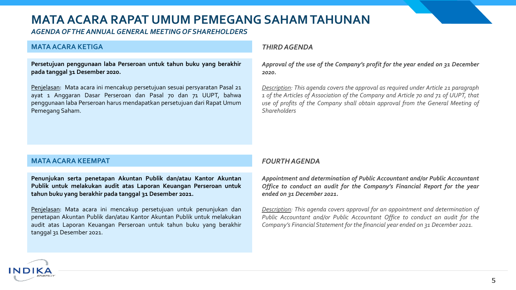# **MATA ACARA RAPAT UMUM PEMEGANG SAHAM TAHUNAN**

*AGENDA OF THE ANNUAL GENERAL MEETING OF SHAREHOLDERS*

### **MATAACARA KETIGA**

**Persetujuan penggunaan laba Perseroan untuk tahun buku yang berakhir pada tanggal 31 Desember 2020.**

Penjelasan: Mata acara ini mencakup persetujuan sesuai persyaratan Pasal 21 ayat 1 Anggaran Dasar Perseroan dan Pasal 70 dan 71 UUPT, bahwa penggunaan laba Perseroan harus mendapatkan persetujuan dari Rapat Umum Pemegang Saham.

#### *THIRDAGENDA*

*Approval of the use of the Company's profit for the year ended on 31 December 2020.*

*Description: This agenda covers the approval as required under Article 21 paragraph 1 of the Articles of Association of the Company and Article 70 and 71 of UUPT, that use of profits of the Company shall obtain approval from the General Meeting of Shareholders*

#### **MATAACARA KEEMPAT**

ND

**Penunjukan serta penetapan Akuntan Publik dan/atau Kantor Akuntan Publik untuk melakukan audit atas Laporan Keuangan Perseroan untuk tahun buku yang berakhir pada tanggal 31 Desember 2021.**

Penjelasan: Mata acara ini mencakup persetujuan untuk penunjukan dan penetapan Akuntan Publik dan/atau Kantor Akuntan Publik untuk melakukan audit atas Laporan Keuangan Perseroan untuk tahun buku yang berakhir tanggal 31 Desember 2021.

### *FOURTHAGENDA*

*Appointment and determination of Public Accountant and/or Public Accountant Office to conduct an audit for the Company's Financial Report for the year ended on 31 December 2021.*

*Description: This agenda covers approval for an appointment and determination of Public Accountant and/or Public Accountant Office to conduct an audit for the Company's Financial Statement for the financial year ended on 31 December 2021.*